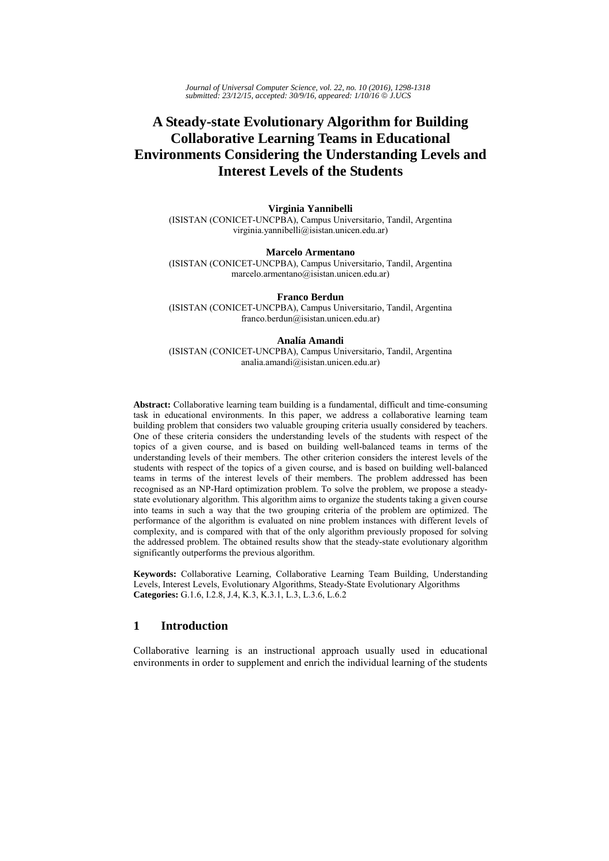*Journal of Universal Computer Science, vol. 22, no. 10 (2016), 1298-1318 submitted: 23/12/15, accepted: 30/9/16, appeared: 1/10/16* © *J.UCS*

# **A Steady-state Evolutionary Algorithm for Building Collaborative Learning Teams in Educational Environments Considering the Understanding Levels and Interest Levels of the Students**

**Virginia Yannibelli**  (ISISTAN (CONICET-UNCPBA), Campus Universitario, Tandil, Argentina virginia.yannibelli@isistan.unicen.edu.ar)

**Marcelo Armentano**  (ISISTAN (CONICET-UNCPBA), Campus Universitario, Tandil, Argentina marcelo.armentano@isistan.unicen.edu.ar)

**Franco Berdun**  (ISISTAN (CONICET-UNCPBA), Campus Universitario, Tandil, Argentina franco.berdun@isistan.unicen.edu.ar)

#### **Analía Amandi**

(ISISTAN (CONICET-UNCPBA), Campus Universitario, Tandil, Argentina analia.amandi@isistan.unicen.edu.ar)

**Abstract:** Collaborative learning team building is a fundamental, difficult and time-consuming task in educational environments. In this paper, we address a collaborative learning team building problem that considers two valuable grouping criteria usually considered by teachers. One of these criteria considers the understanding levels of the students with respect of the topics of a given course, and is based on building well-balanced teams in terms of the understanding levels of their members. The other criterion considers the interest levels of the students with respect of the topics of a given course, and is based on building well-balanced teams in terms of the interest levels of their members. The problem addressed has been recognised as an NP-Hard optimization problem. To solve the problem, we propose a steadystate evolutionary algorithm. This algorithm aims to organize the students taking a given course into teams in such a way that the two grouping criteria of the problem are optimized. The performance of the algorithm is evaluated on nine problem instances with different levels of complexity, and is compared with that of the only algorithm previously proposed for solving the addressed problem. The obtained results show that the steady-state evolutionary algorithm significantly outperforms the previous algorithm.

**Keywords:** Collaborative Learning, Collaborative Learning Team Building, Understanding Levels, Interest Levels, Evolutionary Algorithms, Steady-State Evolutionary Algorithms **Categories:** G.1.6, I.2.8, J.4, K.3, K.3.1, L.3, L.3.6, L.6.2

# **1 Introduction**

Collaborative learning is an instructional approach usually used in educational environments in order to supplement and enrich the individual learning of the students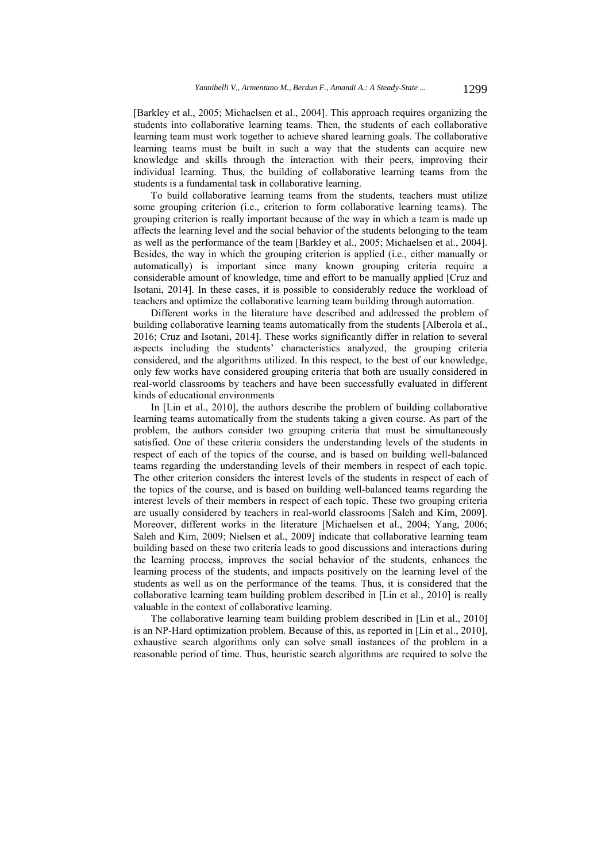[Barkley et al., 2005; Michaelsen et al., 2004]. This approach requires organizing the students into collaborative learning teams. Then, the students of each collaborative learning team must work together to achieve shared learning goals. The collaborative learning teams must be built in such a way that the students can acquire new knowledge and skills through the interaction with their peers, improving their individual learning. Thus, the building of collaborative learning teams from the students is a fundamental task in collaborative learning.

To build collaborative learning teams from the students, teachers must utilize some grouping criterion (i.e., criterion to form collaborative learning teams). The grouping criterion is really important because of the way in which a team is made up affects the learning level and the social behavior of the students belonging to the team as well as the performance of the team [Barkley et al., 2005; Michaelsen et al., 2004]. Besides, the way in which the grouping criterion is applied (i.e., either manually or automatically) is important since many known grouping criteria require a considerable amount of knowledge, time and effort to be manually applied [Cruz and Isotani, 2014]. In these cases, it is possible to considerably reduce the workload of teachers and optimize the collaborative learning team building through automation.

Different works in the literature have described and addressed the problem of building collaborative learning teams automatically from the students [Alberola et al., 2016; Cruz and Isotani, 2014]. These works significantly differ in relation to several aspects including the students' characteristics analyzed, the grouping criteria considered, and the algorithms utilized. In this respect, to the best of our knowledge, only few works have considered grouping criteria that both are usually considered in real-world classrooms by teachers and have been successfully evaluated in different kinds of educational environments

In [Lin et al., 2010], the authors describe the problem of building collaborative learning teams automatically from the students taking a given course. As part of the problem, the authors consider two grouping criteria that must be simultaneously satisfied. One of these criteria considers the understanding levels of the students in respect of each of the topics of the course, and is based on building well-balanced teams regarding the understanding levels of their members in respect of each topic. The other criterion considers the interest levels of the students in respect of each of the topics of the course, and is based on building well-balanced teams regarding the interest levels of their members in respect of each topic. These two grouping criteria are usually considered by teachers in real-world classrooms [Saleh and Kim, 2009]. Moreover, different works in the literature [Michaelsen et al., 2004; Yang, 2006; Saleh and Kim, 2009; Nielsen et al., 2009] indicate that collaborative learning team building based on these two criteria leads to good discussions and interactions during the learning process, improves the social behavior of the students, enhances the learning process of the students, and impacts positively on the learning level of the students as well as on the performance of the teams. Thus, it is considered that the collaborative learning team building problem described in [Lin et al., 2010] is really valuable in the context of collaborative learning.

The collaborative learning team building problem described in [Lin et al., 2010] is an NP-Hard optimization problem. Because of this, as reported in [Lin et al., 2010], exhaustive search algorithms only can solve small instances of the problem in a reasonable period of time. Thus, heuristic search algorithms are required to solve the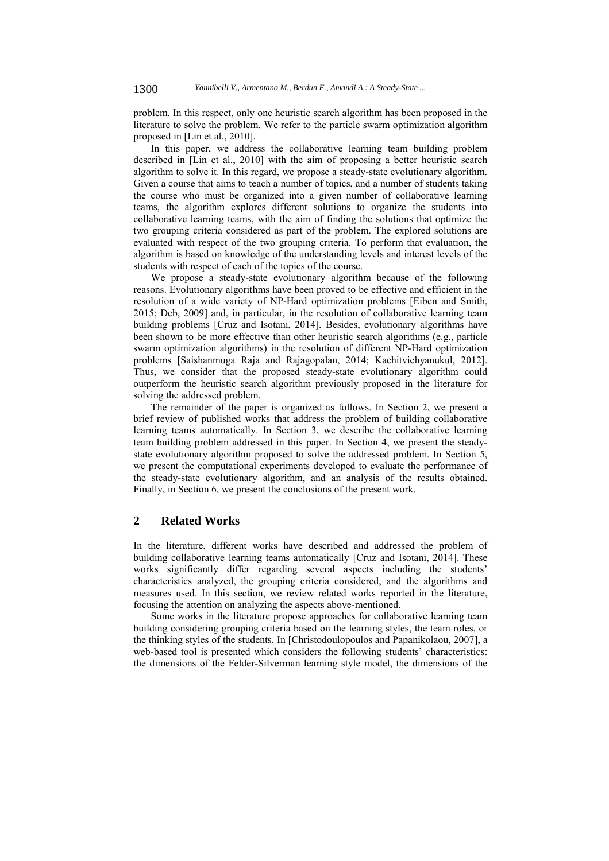problem. In this respect, only one heuristic search algorithm has been proposed in the literature to solve the problem. We refer to the particle swarm optimization algorithm proposed in [Lin et al., 2010].

In this paper, we address the collaborative learning team building problem described in [Lin et al., 2010] with the aim of proposing a better heuristic search algorithm to solve it. In this regard, we propose a steady-state evolutionary algorithm. Given a course that aims to teach a number of topics, and a number of students taking the course who must be organized into a given number of collaborative learning teams, the algorithm explores different solutions to organize the students into collaborative learning teams, with the aim of finding the solutions that optimize the two grouping criteria considered as part of the problem. The explored solutions are evaluated with respect of the two grouping criteria. To perform that evaluation, the algorithm is based on knowledge of the understanding levels and interest levels of the students with respect of each of the topics of the course.

We propose a steady-state evolutionary algorithm because of the following reasons. Evolutionary algorithms have been proved to be effective and efficient in the resolution of a wide variety of NP-Hard optimization problems [Eiben and Smith, 2015; Deb, 2009] and, in particular, in the resolution of collaborative learning team building problems [Cruz and Isotani, 2014]. Besides, evolutionary algorithms have been shown to be more effective than other heuristic search algorithms (e.g., particle swarm optimization algorithms) in the resolution of different NP-Hard optimization problems [Saishanmuga Raja and Rajagopalan, 2014; Kachitvichyanukul, 2012]. Thus, we consider that the proposed steady-state evolutionary algorithm could outperform the heuristic search algorithm previously proposed in the literature for solving the addressed problem.

The remainder of the paper is organized as follows. In Section 2, we present a brief review of published works that address the problem of building collaborative learning teams automatically. In Section 3, we describe the collaborative learning team building problem addressed in this paper. In Section 4, we present the steadystate evolutionary algorithm proposed to solve the addressed problem. In Section 5, we present the computational experiments developed to evaluate the performance of the steady-state evolutionary algorithm, and an analysis of the results obtained. Finally, in Section 6, we present the conclusions of the present work.

# **2 Related Works**

In the literature, different works have described and addressed the problem of building collaborative learning teams automatically [Cruz and Isotani, 2014]. These works significantly differ regarding several aspects including the students' characteristics analyzed, the grouping criteria considered, and the algorithms and measures used. In this section, we review related works reported in the literature, focusing the attention on analyzing the aspects above-mentioned.

Some works in the literature propose approaches for collaborative learning team building considering grouping criteria based on the learning styles, the team roles, or the thinking styles of the students. In [Christodoulopoulos and Papanikolaou, 2007], a web-based tool is presented which considers the following students' characteristics: the dimensions of the Felder-Silverman learning style model, the dimensions of the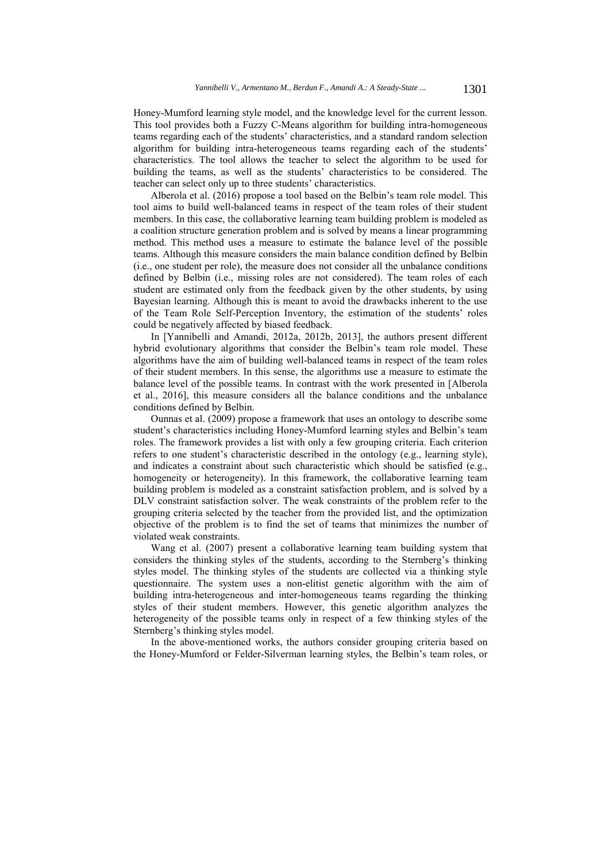Honey-Mumford learning style model, and the knowledge level for the current lesson. This tool provides both a Fuzzy C-Means algorithm for building intra-homogeneous teams regarding each of the students' characteristics, and a standard random selection algorithm for building intra-heterogeneous teams regarding each of the students' characteristics. The tool allows the teacher to select the algorithm to be used for building the teams, as well as the students' characteristics to be considered. The teacher can select only up to three students' characteristics.

Alberola et al. (2016) propose a tool based on the Belbin's team role model. This tool aims to build well-balanced teams in respect of the team roles of their student members. In this case, the collaborative learning team building problem is modeled as a coalition structure generation problem and is solved by means a linear programming method. This method uses a measure to estimate the balance level of the possible teams. Although this measure considers the main balance condition defined by Belbin (i.e., one student per role), the measure does not consider all the unbalance conditions defined by Belbin (i.e., missing roles are not considered). The team roles of each student are estimated only from the feedback given by the other students, by using Bayesian learning. Although this is meant to avoid the drawbacks inherent to the use of the Team Role Self-Perception Inventory, the estimation of the students' roles could be negatively affected by biased feedback.

In [Yannibelli and Amandi, 2012a, 2012b, 2013], the authors present different hybrid evolutionary algorithms that consider the Belbin's team role model. These algorithms have the aim of building well-balanced teams in respect of the team roles of their student members. In this sense, the algorithms use a measure to estimate the balance level of the possible teams. In contrast with the work presented in [Alberola et al., 2016], this measure considers all the balance conditions and the unbalance conditions defined by Belbin.

Ounnas et al. (2009) propose a framework that uses an ontology to describe some student's characteristics including Honey-Mumford learning styles and Belbin's team roles. The framework provides a list with only a few grouping criteria. Each criterion refers to one student's characteristic described in the ontology (e.g., learning style), and indicates a constraint about such characteristic which should be satisfied (e.g., homogeneity or heterogeneity). In this framework, the collaborative learning team building problem is modeled as a constraint satisfaction problem, and is solved by a DLV constraint satisfaction solver. The weak constraints of the problem refer to the grouping criteria selected by the teacher from the provided list, and the optimization objective of the problem is to find the set of teams that minimizes the number of violated weak constraints.

Wang et al. (2007) present a collaborative learning team building system that considers the thinking styles of the students, according to the Sternberg's thinking styles model. The thinking styles of the students are collected via a thinking style questionnaire. The system uses a non-elitist genetic algorithm with the aim of building intra-heterogeneous and inter-homogeneous teams regarding the thinking styles of their student members. However, this genetic algorithm analyzes the heterogeneity of the possible teams only in respect of a few thinking styles of the Sternberg's thinking styles model.

In the above-mentioned works, the authors consider grouping criteria based on the Honey-Mumford or Felder-Silverman learning styles, the Belbin's team roles, or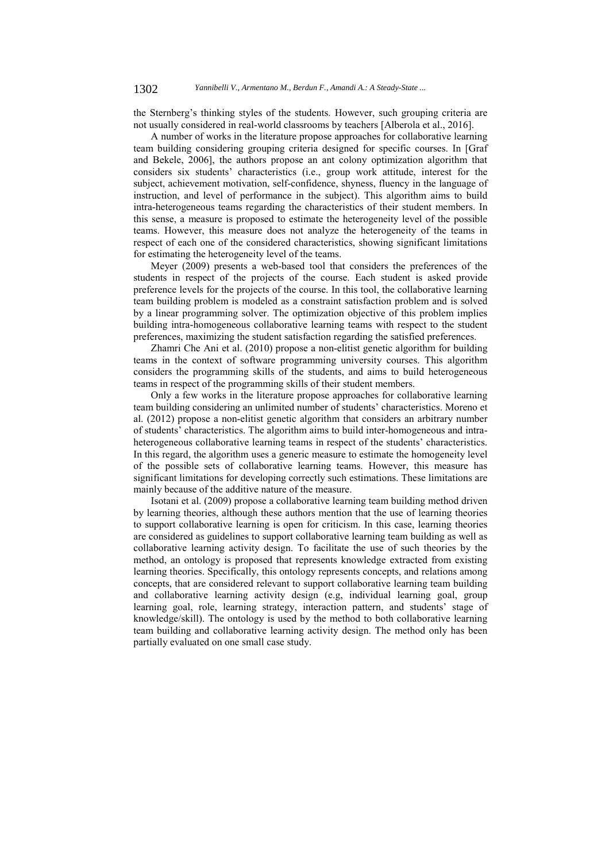the Sternberg's thinking styles of the students. However, such grouping criteria are not usually considered in real-world classrooms by teachers [Alberola et al., 2016].

A number of works in the literature propose approaches for collaborative learning team building considering grouping criteria designed for specific courses. In [Graf and Bekele, 2006], the authors propose an ant colony optimization algorithm that considers six students' characteristics (i.e., group work attitude, interest for the subject, achievement motivation, self-confidence, shyness, fluency in the language of instruction, and level of performance in the subject). This algorithm aims to build intra-heterogeneous teams regarding the characteristics of their student members. In this sense, a measure is proposed to estimate the heterogeneity level of the possible teams. However, this measure does not analyze the heterogeneity of the teams in respect of each one of the considered characteristics, showing significant limitations for estimating the heterogeneity level of the teams.

Meyer (2009) presents a web-based tool that considers the preferences of the students in respect of the projects of the course. Each student is asked provide preference levels for the projects of the course. In this tool, the collaborative learning team building problem is modeled as a constraint satisfaction problem and is solved by a linear programming solver. The optimization objective of this problem implies building intra-homogeneous collaborative learning teams with respect to the student preferences, maximizing the student satisfaction regarding the satisfied preferences.

Zhamri Che Ani et al. (2010) propose a non-elitist genetic algorithm for building teams in the context of software programming university courses. This algorithm considers the programming skills of the students, and aims to build heterogeneous teams in respect of the programming skills of their student members.

Only a few works in the literature propose approaches for collaborative learning team building considering an unlimited number of students' characteristics. Moreno et al. (2012) propose a non-elitist genetic algorithm that considers an arbitrary number of students' characteristics. The algorithm aims to build inter-homogeneous and intraheterogeneous collaborative learning teams in respect of the students' characteristics. In this regard, the algorithm uses a generic measure to estimate the homogeneity level of the possible sets of collaborative learning teams. However, this measure has significant limitations for developing correctly such estimations. These limitations are mainly because of the additive nature of the measure.

Isotani et al. (2009) propose a collaborative learning team building method driven by learning theories, although these authors mention that the use of learning theories to support collaborative learning is open for criticism. In this case, learning theories are considered as guidelines to support collaborative learning team building as well as collaborative learning activity design. To facilitate the use of such theories by the method, an ontology is proposed that represents knowledge extracted from existing learning theories. Specifically, this ontology represents concepts, and relations among concepts, that are considered relevant to support collaborative learning team building and collaborative learning activity design (e.g, individual learning goal, group learning goal, role, learning strategy, interaction pattern, and students' stage of knowledge/skill). The ontology is used by the method to both collaborative learning team building and collaborative learning activity design. The method only has been partially evaluated on one small case study.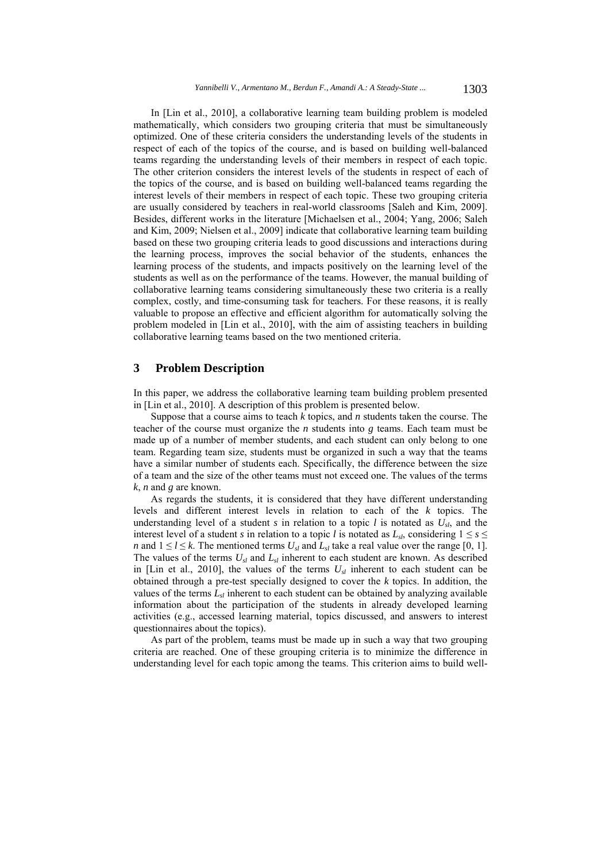In [Lin et al., 2010], a collaborative learning team building problem is modeled mathematically, which considers two grouping criteria that must be simultaneously optimized. One of these criteria considers the understanding levels of the students in respect of each of the topics of the course, and is based on building well-balanced teams regarding the understanding levels of their members in respect of each topic. The other criterion considers the interest levels of the students in respect of each of the topics of the course, and is based on building well-balanced teams regarding the interest levels of their members in respect of each topic. These two grouping criteria are usually considered by teachers in real-world classrooms [Saleh and Kim, 2009]. Besides, different works in the literature [Michaelsen et al., 2004; Yang, 2006; Saleh and Kim, 2009; Nielsen et al., 2009] indicate that collaborative learning team building based on these two grouping criteria leads to good discussions and interactions during the learning process, improves the social behavior of the students, enhances the learning process of the students, and impacts positively on the learning level of the students as well as on the performance of the teams. However, the manual building of collaborative learning teams considering simultaneously these two criteria is a really complex, costly, and time-consuming task for teachers. For these reasons, it is really valuable to propose an effective and efficient algorithm for automatically solving the problem modeled in [Lin et al., 2010], with the aim of assisting teachers in building collaborative learning teams based on the two mentioned criteria.

# **3 Problem Description**

In this paper, we address the collaborative learning team building problem presented in [Lin et al., 2010]. A description of this problem is presented below.

Suppose that a course aims to teach *k* topics, and *n* students taken the course. The teacher of the course must organize the *n* students into *g* teams. Each team must be made up of a number of member students, and each student can only belong to one team. Regarding team size, students must be organized in such a way that the teams have a similar number of students each. Specifically, the difference between the size of a team and the size of the other teams must not exceed one. The values of the terms *k*, *n* and *g* are known.

As regards the students, it is considered that they have different understanding levels and different interest levels in relation to each of the *k* topics. The understanding level of a student  $s$  in relation to a topic  $l$  is notated as  $U_{sl}$ , and the interest level of a student *s* in relation to a topic *l* is notated as  $L_{sb}$ , considering  $1 \le s \le$ *n* and  $1 \leq l \leq k$ . The mentioned terms  $U_{sl}$  and  $L_{sl}$  take a real value over the range [0, 1]. The values of the terms *Usl* and *Lsl* inherent to each student are known. As described in [Lin et al., 2010], the values of the terms  $U_{sl}$  inherent to each student can be obtained through a pre-test specially designed to cover the *k* topics. In addition, the values of the terms  $L<sub>sl</sub>$  inherent to each student can be obtained by analyzing available information about the participation of the students in already developed learning activities (e.g., accessed learning material, topics discussed, and answers to interest questionnaires about the topics).

As part of the problem, teams must be made up in such a way that two grouping criteria are reached. One of these grouping criteria is to minimize the difference in understanding level for each topic among the teams. This criterion aims to build well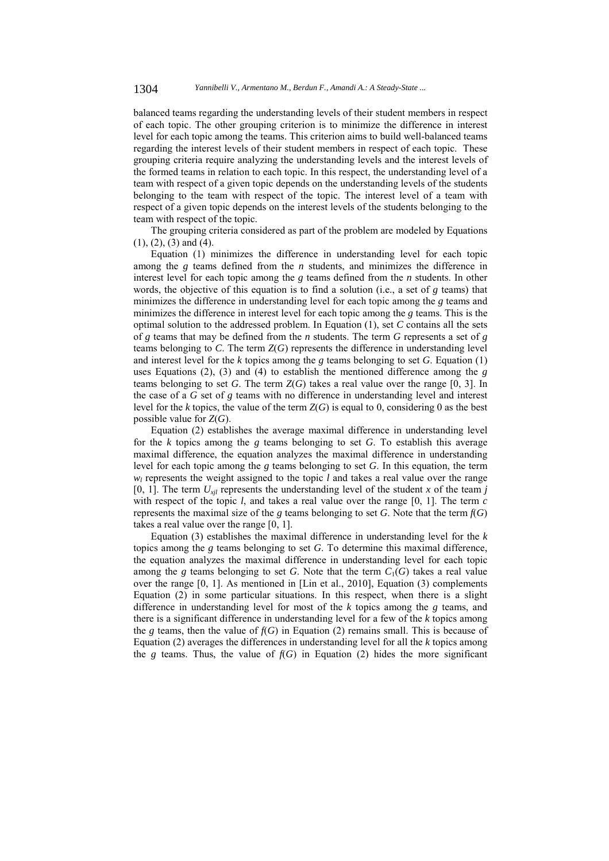balanced teams regarding the understanding levels of their student members in respect of each topic. The other grouping criterion is to minimize the difference in interest level for each topic among the teams. This criterion aims to build well-balanced teams regarding the interest levels of their student members in respect of each topic. These grouping criteria require analyzing the understanding levels and the interest levels of the formed teams in relation to each topic. In this respect, the understanding level of a team with respect of a given topic depends on the understanding levels of the students belonging to the team with respect of the topic. The interest level of a team with respect of a given topic depends on the interest levels of the students belonging to the team with respect of the topic.

The grouping criteria considered as part of the problem are modeled by Equations (1), (2), (3) and (4).

Equation (1) minimizes the difference in understanding level for each topic among the *g* teams defined from the *n* students, and minimizes the difference in interest level for each topic among the *g* teams defined from the *n* students. In other words, the objective of this equation is to find a solution (i.e., a set of *g* teams) that minimizes the difference in understanding level for each topic among the *g* teams and minimizes the difference in interest level for each topic among the *g* teams. This is the optimal solution to the addressed problem. In Equation (1), set *C* contains all the sets of *g* teams that may be defined from the *n* students. The term *G* represents a set of *g* teams belonging to *C*. The term *Z*(*G*) represents the difference in understanding level and interest level for the *k* topics among the *g* teams belonging to set *G*. Equation (1) uses Equations (2), (3) and (4) to establish the mentioned difference among the *g* teams belonging to set *G*. The term *Z*(*G*) takes a real value over the range [0, 3]. In the case of a *G* set of *g* teams with no difference in understanding level and interest level for the *k* topics, the value of the term  $Z(G)$  is equal to 0, considering 0 as the best possible value for *Z*(*G*).

Equation (2) establishes the average maximal difference in understanding level for the *k* topics among the *g* teams belonging to set *G*. To establish this average maximal difference, the equation analyzes the maximal difference in understanding level for each topic among the *g* teams belonging to set *G*. In this equation, the term  $w_l$  represents the weight assigned to the topic *l* and takes a real value over the range [0, 1]. The term  $U_{xil}$  represents the understanding level of the student *x* of the team *j* with respect of the topic  $l$ , and takes a real value over the range  $[0, 1]$ . The term  $c$ represents the maximal size of the *g* teams belonging to set *G*. Note that the term  $f(G)$ takes a real value over the range [0, 1].

Equation (3) establishes the maximal difference in understanding level for the *k* topics among the *g* teams belonging to set *G*. To determine this maximal difference, the equation analyzes the maximal difference in understanding level for each topic among the *g* teams belonging to set *G*. Note that the term  $C_1(G)$  takes a real value over the range [0, 1]. As mentioned in [Lin et al., 2010], Equation (3) complements Equation (2) in some particular situations. In this respect, when there is a slight difference in understanding level for most of the *k* topics among the *g* teams, and there is a significant difference in understanding level for a few of the *k* topics among the *g* teams, then the value of  $f(G)$  in Equation (2) remains small. This is because of Equation (2) averages the differences in understanding level for all the *k* topics among the *g* teams. Thus, the value of  $f(G)$  in Equation (2) hides the more significant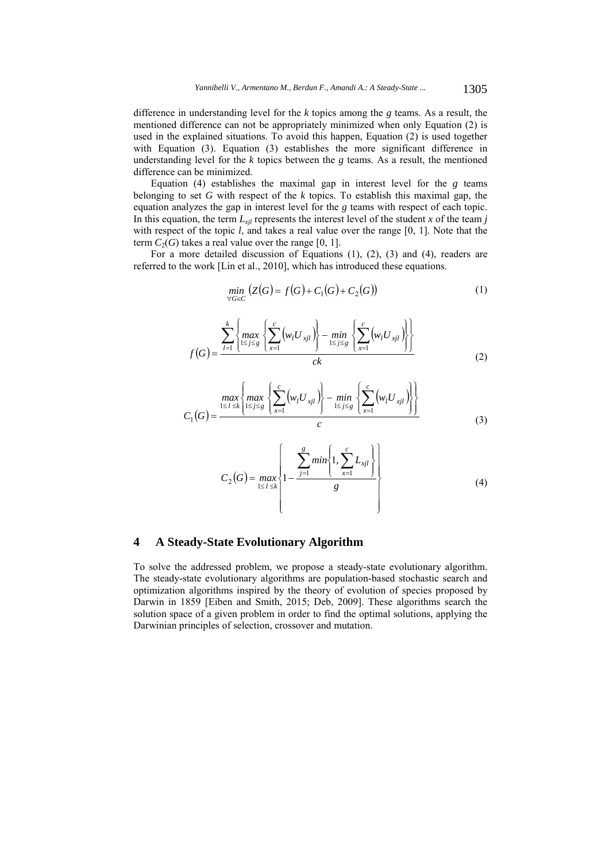difference in understanding level for the *k* topics among the *g* teams. As a result, the mentioned difference can not be appropriately minimized when only Equation (2) is used in the explained situations. To avoid this happen, Equation (2) is used together with Equation (3). Equation (3) establishes the more significant difference in understanding level for the  $k$  topics between the  $g$  teams. As a result, the mentioned difference can be minimized.

Equation (4) establishes the maximal gap in interest level for the *g* teams belonging to set *G* with respect of the *k* topics. To establish this maximal gap, the equation analyzes the gap in interest level for the *g* teams with respect of each topic. In this equation, the term  $L_{xil}$  represents the interest level of the student *x* of the team *j* with respect of the topic *l*, and takes a real value over the range [0, 1]. Note that the term  $C_2(G)$  takes a real value over the range [0, 1].

For a more detailed discussion of Equations (1), (2), (3) and (4), readers are referred to the work [Lin et al., 2010], which has introduced these equations.

$$
\min_{\forall G \in C} (Z(G) = f(G) + C_1(G) + C_2(G))
$$
\n(1)

$$
f(G) = \frac{\sum_{l=1}^{k} \left\{ \max_{1 \le j \le g} \left\{ \sum_{x=1}^{c} (w_l U_{xjl}) \right\} - \min_{1 \le j \le g} \left\{ \sum_{x=1}^{c} (w_l U_{xjl}) \right\} \right\}}{ck}
$$
(2)

$$
C_1(G) = \frac{\max\left\{\max_{1 \leq l \leq k} \left\{ \sum_{1 \leq j \leq g}^{c} \left( w_l U_{xjl} \right) \right\} - \min_{1 \leq j \leq g} \left\{ \sum_{x=1}^{c} \left( w_l U_{xjl} \right) \right\} \right\}}{c}
$$
(3)

$$
C_2(G) = \max_{1 \leq l \leq k} \left\{ 1 - \frac{\sum_{j=1}^{g} \min\left\{1, \sum_{x=1}^{c} L_{xjl}\right\}}{g} \right\}
$$
(4)

## **4 A Steady-State Evolutionary Algorithm**

To solve the addressed problem, we propose a steady-state evolutionary algorithm. The steady-state evolutionary algorithms are population-based stochastic search and optimization algorithms inspired by the theory of evolution of species proposed by Darwin in 1859 [Eiben and Smith, 2015; Deb, 2009]. These algorithms search the solution space of a given problem in order to find the optimal solutions, applying the Darwinian principles of selection, crossover and mutation.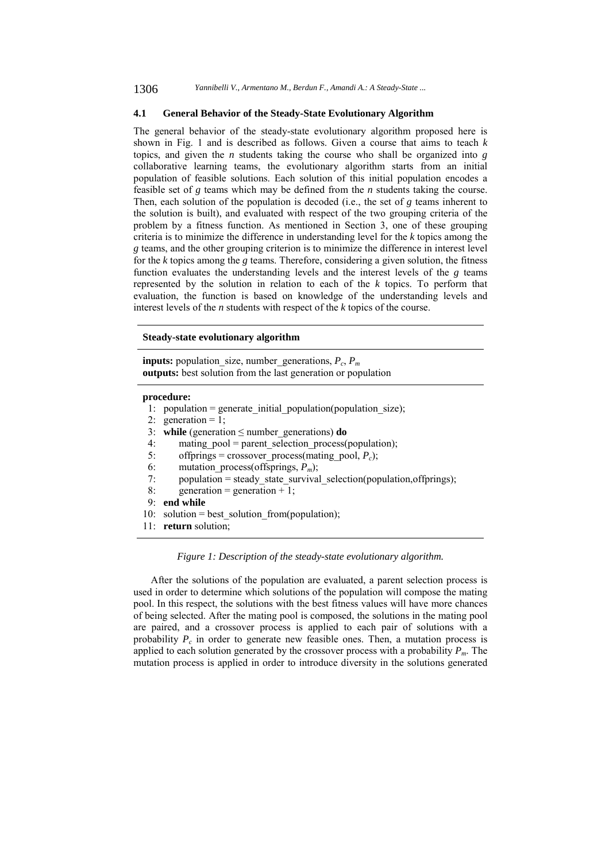### **4.1 General Behavior of the Steady-State Evolutionary Algorithm**

The general behavior of the steady-state evolutionary algorithm proposed here is shown in Fig. 1 and is described as follows. Given a course that aims to teach *k* topics, and given the *n* students taking the course who shall be organized into *g* collaborative learning teams, the evolutionary algorithm starts from an initial population of feasible solutions. Each solution of this initial population encodes a feasible set of *g* teams which may be defined from the *n* students taking the course. Then, each solution of the population is decoded (i.e., the set of *g* teams inherent to the solution is built), and evaluated with respect of the two grouping criteria of the problem by a fitness function. As mentioned in Section 3, one of these grouping criteria is to minimize the difference in understanding level for the *k* topics among the *g* teams, and the other grouping criterion is to minimize the difference in interest level for the *k* topics among the *g* teams. Therefore, considering a given solution, the fitness function evaluates the understanding levels and the interest levels of the *g* teams represented by the solution in relation to each of the *k* topics. To perform that evaluation, the function is based on knowledge of the understanding levels and interest levels of the *n* students with respect of the *k* topics of the course.

#### **Steady-state evolutionary algorithm**

**inputs:** population size, number generations,  $P_c$ ,  $P_m$ **outputs:** best solution from the last generation or population

#### **procedure:**

| $population = generate\_initial\_population(population\_size);$ |  |  |
|-----------------------------------------------------------------|--|--|
|                                                                 |  |  |

2: generation =  $1$ ;

- 3: **while** (generation  $\leq$  number generations) **do**
- 4: mating\_pool = parent\_selection\_process(population);<br>5. offbrings = crossover process(mating pool,  $P_c$ );
- offprings = crossover process(mating pool,  $P_c$ );
- 6: mutation\_process(offsprings, *Pm*);
- 7: population = steady\_state\_survival\_selection(population,offprings);
- 8: generation = generation + 1;

```
 9: end while
```
- 10: solution = best solution from(population);
- 11: **return** solution;

### *Figure 1: Description of the steady-state evolutionary algorithm.*

After the solutions of the population are evaluated, a parent selection process is used in order to determine which solutions of the population will compose the mating pool. In this respect, the solutions with the best fitness values will have more chances of being selected. After the mating pool is composed, the solutions in the mating pool are paired, and a crossover process is applied to each pair of solutions with a probability  $P_c$  in order to generate new feasible ones. Then, a mutation process is applied to each solution generated by the crossover process with a probability *Pm*. The mutation process is applied in order to introduce diversity in the solutions generated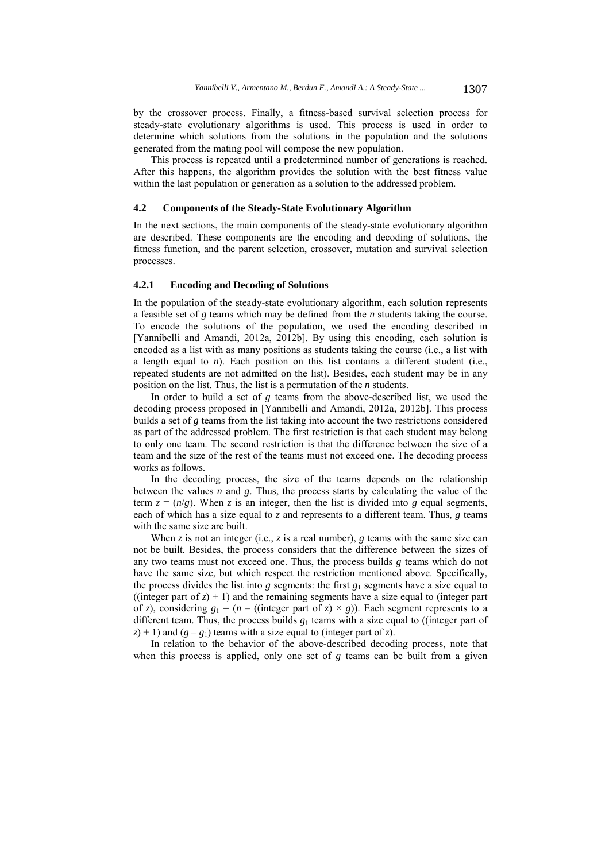by the crossover process. Finally, a fitness-based survival selection process for steady-state evolutionary algorithms is used. This process is used in order to determine which solutions from the solutions in the population and the solutions generated from the mating pool will compose the new population.

This process is repeated until a predetermined number of generations is reached. After this happens, the algorithm provides the solution with the best fitness value within the last population or generation as a solution to the addressed problem.

### **4.2 Components of the Steady-State Evolutionary Algorithm**

In the next sections, the main components of the steady-state evolutionary algorithm are described. These components are the encoding and decoding of solutions, the fitness function, and the parent selection, crossover, mutation and survival selection processes.

### **4.2.1 Encoding and Decoding of Solutions**

In the population of the steady-state evolutionary algorithm, each solution represents a feasible set of *g* teams which may be defined from the *n* students taking the course. To encode the solutions of the population, we used the encoding described in [Yannibelli and Amandi, 2012a, 2012b]. By using this encoding, each solution is encoded as a list with as many positions as students taking the course (i.e., a list with a length equal to  $n$ ). Each position on this list contains a different student (i.e., repeated students are not admitted on the list). Besides, each student may be in any position on the list. Thus, the list is a permutation of the *n* students.

In order to build a set of *g* teams from the above-described list, we used the decoding process proposed in [Yannibelli and Amandi, 2012a, 2012b]. This process builds a set of *g* teams from the list taking into account the two restrictions considered as part of the addressed problem. The first restriction is that each student may belong to only one team. The second restriction is that the difference between the size of a team and the size of the rest of the teams must not exceed one. The decoding process works as follows.

In the decoding process, the size of the teams depends on the relationship between the values *n* and *g*. Thus, the process starts by calculating the value of the term  $z = (n/g)$ . When *z* is an integer, then the list is divided into *g* equal segments, each of which has a size equal to  $\overline{z}$  and represents to a different team. Thus,  $\overline{g}$  teams with the same size are built.

When  $z$  is not an integer (i.e.,  $z$  is a real number),  $g$  teams with the same size can not be built. Besides, the process considers that the difference between the sizes of any two teams must not exceed one. Thus, the process builds *g* teams which do not have the same size, but which respect the restriction mentioned above. Specifically, the process divides the list into  $g$  segments: the first  $g_1$  segments have a size equal to ((integer part of  $z$ ) + 1) and the remaining segments have a size equal to (integer part of *z*), considering  $g_1 = (n - ((integer part of z) \times g))$ . Each segment represents to a different team. Thus, the process builds  $g_1$  teams with a size equal to ((integer part of  $(z)$  + 1) and  $(g - g_1)$  teams with a size equal to (integer part of *z*).

In relation to the behavior of the above-described decoding process, note that when this process is applied, only one set of *g* teams can be built from a given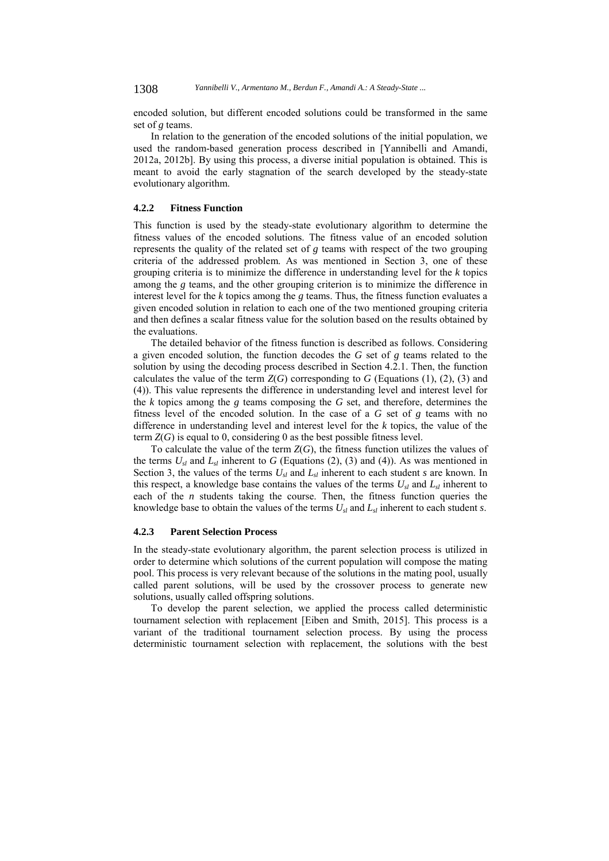encoded solution, but different encoded solutions could be transformed in the same set of *g* teams.

In relation to the generation of the encoded solutions of the initial population, we used the random-based generation process described in [Yannibelli and Amandi, 2012a, 2012b]. By using this process, a diverse initial population is obtained. This is meant to avoid the early stagnation of the search developed by the steady-state evolutionary algorithm.

### **4.2.2 Fitness Function**

This function is used by the steady-state evolutionary algorithm to determine the fitness values of the encoded solutions. The fitness value of an encoded solution represents the quality of the related set of *g* teams with respect of the two grouping criteria of the addressed problem. As was mentioned in Section 3, one of these grouping criteria is to minimize the difference in understanding level for the *k* topics among the *g* teams, and the other grouping criterion is to minimize the difference in interest level for the *k* topics among the *g* teams. Thus, the fitness function evaluates a given encoded solution in relation to each one of the two mentioned grouping criteria and then defines a scalar fitness value for the solution based on the results obtained by the evaluations.

The detailed behavior of the fitness function is described as follows. Considering a given encoded solution, the function decodes the *G* set of *g* teams related to the solution by using the decoding process described in Section 4.2.1. Then, the function calculates the value of the term  $Z(G)$  corresponding to G (Equations (1), (2), (3) and (4)). This value represents the difference in understanding level and interest level for the *k* topics among the *g* teams composing the *G* set, and therefore, determines the fitness level of the encoded solution. In the case of a *G* set of *g* teams with no difference in understanding level and interest level for the *k* topics, the value of the term  $Z(G)$  is equal to 0, considering 0 as the best possible fitness level.

To calculate the value of the term *Z*(*G*), the fitness function utilizes the values of the terms  $U_{sl}$  and  $L_{sl}$  inherent to *G* (Equations (2), (3) and (4)). As was mentioned in Section 3, the values of the terms  $U_{sl}$  and  $L_{sl}$  inherent to each student *s* are known. In this respect, a knowledge base contains the values of the terms  $U_{sl}$  and  $L_{sl}$  inherent to each of the *n* students taking the course. Then, the fitness function queries the knowledge base to obtain the values of the terms *Usl* and *Lsl* inherent to each student *s*.

#### **4.2.3 Parent Selection Process**

In the steady-state evolutionary algorithm, the parent selection process is utilized in order to determine which solutions of the current population will compose the mating pool. This process is very relevant because of the solutions in the mating pool, usually called parent solutions, will be used by the crossover process to generate new solutions, usually called offspring solutions.

To develop the parent selection, we applied the process called deterministic tournament selection with replacement [Eiben and Smith, 2015]. This process is a variant of the traditional tournament selection process. By using the process deterministic tournament selection with replacement, the solutions with the best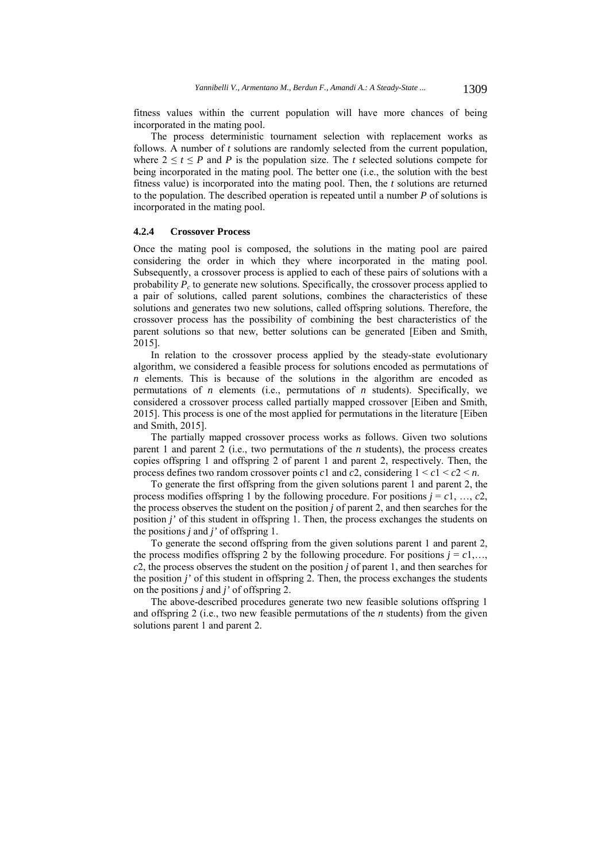fitness values within the current population will have more chances of being incorporated in the mating pool.

The process deterministic tournament selection with replacement works as follows. A number of *t* solutions are randomly selected from the current population, where  $2 \le t \le P$  and *P* is the population size. The *t* selected solutions compete for being incorporated in the mating pool. The better one (i.e., the solution with the best fitness value) is incorporated into the mating pool. Then, the *t* solutions are returned to the population. The described operation is repeated until a number *P* of solutions is incorporated in the mating pool.

### **4.2.4 Crossover Process**

Once the mating pool is composed, the solutions in the mating pool are paired considering the order in which they where incorporated in the mating pool. Subsequently, a crossover process is applied to each of these pairs of solutions with a probability  $P_c$  to generate new solutions. Specifically, the crossover process applied to a pair of solutions, called parent solutions, combines the characteristics of these solutions and generates two new solutions, called offspring solutions. Therefore, the crossover process has the possibility of combining the best characteristics of the parent solutions so that new, better solutions can be generated [Eiben and Smith, 2015].

In relation to the crossover process applied by the steady-state evolutionary algorithm, we considered a feasible process for solutions encoded as permutations of *n* elements. This is because of the solutions in the algorithm are encoded as permutations of *n* elements (i.e., permutations of *n* students). Specifically, we considered a crossover process called partially mapped crossover [Eiben and Smith, 2015]. This process is one of the most applied for permutations in the literature [Eiben and Smith, 2015].

The partially mapped crossover process works as follows. Given two solutions parent 1 and parent 2 (i.e., two permutations of the *n* students), the process creates copies offspring 1 and offspring 2 of parent 1 and parent 2, respectively. Then, the process defines two random crossover points *c*1 and *c2*, considering  $1 \le c1 \le c2 \le n$ .

To generate the first offspring from the given solutions parent 1 and parent 2, the process modifies offspring 1 by the following procedure. For positions  $j = c_1, ..., c_2$ , the process observes the student on the position *j* of parent 2, and then searches for the position *j'* of this student in offspring 1. Then, the process exchanges the students on the positions *j* and *j'* of offspring 1.

To generate the second offspring from the given solutions parent 1 and parent 2, the process modifies offspring 2 by the following procedure. For positions  $j = c1, \ldots$ , *c*2, the process observes the student on the position *j* of parent 1, and then searches for the position *j'* of this student in offspring 2. Then, the process exchanges the students on the positions *j* and *j'* of offspring 2.

The above-described procedures generate two new feasible solutions offspring 1 and offspring 2 (i.e., two new feasible permutations of the *n* students) from the given solutions parent 1 and parent 2.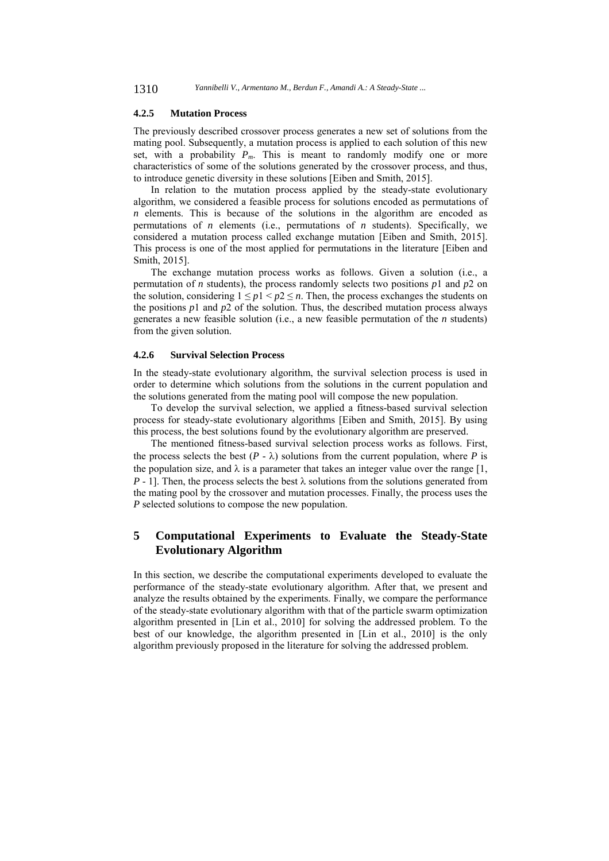1310 *Yannibelli V., Armentano M., Berdun F., Amandi A.: A Steady-State ...*

### **4.2.5 Mutation Process**

The previously described crossover process generates a new set of solutions from the mating pool. Subsequently, a mutation process is applied to each solution of this new set, with a probability  $P_m$ . This is meant to randomly modify one or more characteristics of some of the solutions generated by the crossover process, and thus, to introduce genetic diversity in these solutions [Eiben and Smith, 2015].

In relation to the mutation process applied by the steady-state evolutionary algorithm, we considered a feasible process for solutions encoded as permutations of *n* elements. This is because of the solutions in the algorithm are encoded as permutations of *n* elements (i.e., permutations of *n* students). Specifically, we considered a mutation process called exchange mutation [Eiben and Smith, 2015]. This process is one of the most applied for permutations in the literature [Eiben and Smith, 2015].

The exchange mutation process works as follows. Given a solution (i.e., a permutation of *n* students), the process randomly selects two positions *p*1 and *p*2 on the solution, considering  $1 \leq p1 < p2 \leq n$ . Then, the process exchanges the students on the positions  $p_1$  and  $p_2$  of the solution. Thus, the described mutation process always generates a new feasible solution (i.e., a new feasible permutation of the *n* students) from the given solution.

### **4.2.6 Survival Selection Process**

In the steady-state evolutionary algorithm, the survival selection process is used in order to determine which solutions from the solutions in the current population and the solutions generated from the mating pool will compose the new population.

To develop the survival selection, we applied a fitness-based survival selection process for steady-state evolutionary algorithms [Eiben and Smith, 2015]. By using this process, the best solutions found by the evolutionary algorithm are preserved.

The mentioned fitness-based survival selection process works as follows. First, the process selects the best  $(P - \lambda)$  solutions from the current population, where *P* is the population size, and  $\lambda$  is a parameter that takes an integer value over the range [1, *P* - 1]. Then, the process selects the best  $\lambda$  solutions from the solutions generated from the mating pool by the crossover and mutation processes. Finally, the process uses the *P* selected solutions to compose the new population.

# **5 Computational Experiments to Evaluate the Steady-State Evolutionary Algorithm**

In this section, we describe the computational experiments developed to evaluate the performance of the steady-state evolutionary algorithm. After that, we present and analyze the results obtained by the experiments. Finally, we compare the performance of the steady-state evolutionary algorithm with that of the particle swarm optimization algorithm presented in [Lin et al., 2010] for solving the addressed problem. To the best of our knowledge, the algorithm presented in [Lin et al., 2010] is the only algorithm previously proposed in the literature for solving the addressed problem.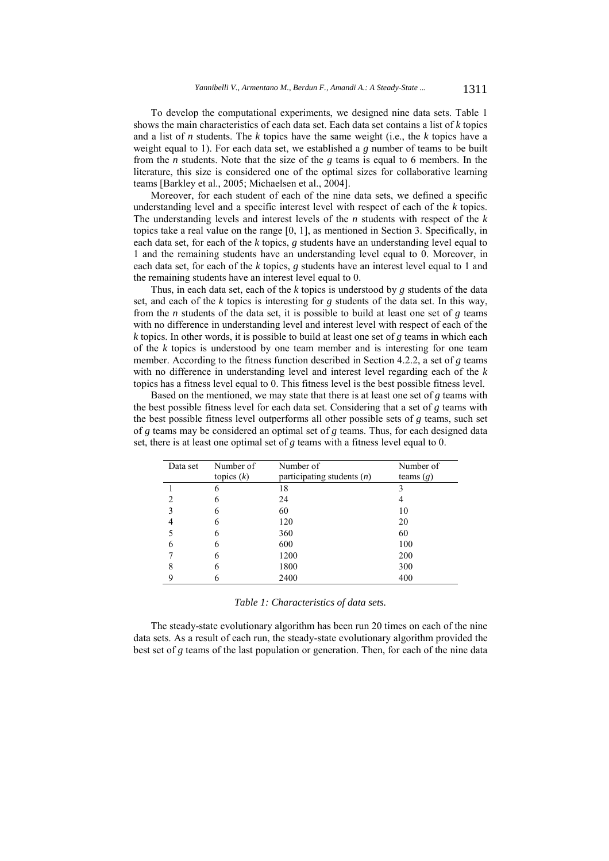To develop the computational experiments, we designed nine data sets. Table 1 shows the main characteristics of each data set. Each data set contains a list of *k* topics and a list of *n* students. The *k* topics have the same weight (i.e., the *k* topics have a weight equal to 1). For each data set, we established a *g* number of teams to be built from the *n* students. Note that the size of the *g* teams is equal to 6 members. In the literature, this size is considered one of the optimal sizes for collaborative learning teams [Barkley et al., 2005; Michaelsen et al., 2004].

Moreover, for each student of each of the nine data sets, we defined a specific understanding level and a specific interest level with respect of each of the *k* topics. The understanding levels and interest levels of the *n* students with respect of the *k* topics take a real value on the range [0, 1], as mentioned in Section 3. Specifically, in each data set, for each of the *k* topics, *g* students have an understanding level equal to 1 and the remaining students have an understanding level equal to 0. Moreover, in each data set, for each of the *k* topics, *g* students have an interest level equal to 1 and the remaining students have an interest level equal to 0.

Thus, in each data set, each of the *k* topics is understood by *g* students of the data set, and each of the *k* topics is interesting for *g* students of the data set. In this way, from the *n* students of the data set, it is possible to build at least one set of *g* teams with no difference in understanding level and interest level with respect of each of the *k* topics. In other words, it is possible to build at least one set of *g* teams in which each of the *k* topics is understood by one team member and is interesting for one team member. According to the fitness function described in Section 4.2.2, a set of *g* teams with no difference in understanding level and interest level regarding each of the *k* topics has a fitness level equal to 0. This fitness level is the best possible fitness level.

Based on the mentioned, we may state that there is at least one set of *g* teams with the best possible fitness level for each data set. Considering that a set of *g* teams with the best possible fitness level outperforms all other possible sets of *g* teams, such set of *g* teams may be considered an optimal set of *g* teams. Thus, for each designed data set, there is at least one optimal set of *g* teams with a fitness level equal to 0.

| Data set | Number of<br>topics $(k)$ | Number of<br>participating students $(n)$ | Number of<br>teams $(g)$ |
|----------|---------------------------|-------------------------------------------|--------------------------|
|          | 6                         | 18                                        |                          |
|          | h                         | 24                                        |                          |
|          | 6                         | 60                                        | 10                       |
|          | 6                         | 120                                       | 20                       |
|          | 6                         | 360                                       | 60                       |
| 6        | h                         | 600                                       | 100                      |
|          | 6                         | 1200                                      | 200                      |
| 8        | 6                         | 1800                                      | 300                      |
|          |                           | 2400                                      | 400                      |

*Table 1: Characteristics of data sets.* 

The steady-state evolutionary algorithm has been run 20 times on each of the nine data sets. As a result of each run, the steady-state evolutionary algorithm provided the best set of *g* teams of the last population or generation. Then, for each of the nine data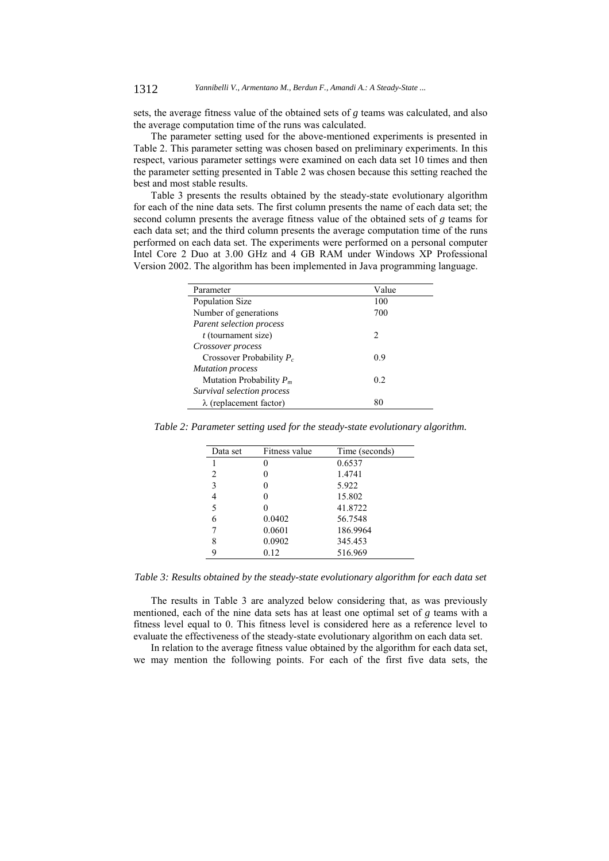sets, the average fitness value of the obtained sets of *g* teams was calculated, and also the average computation time of the runs was calculated.

The parameter setting used for the above-mentioned experiments is presented in Table 2. This parameter setting was chosen based on preliminary experiments. In this respect, various parameter settings were examined on each data set 10 times and then the parameter setting presented in Table 2 was chosen because this setting reached the best and most stable results.

Table 3 presents the results obtained by the steady-state evolutionary algorithm for each of the nine data sets. The first column presents the name of each data set; the second column presents the average fitness value of the obtained sets of *g* teams for each data set; and the third column presents the average computation time of the runs performed on each data set. The experiments were performed on a personal computer Intel Core 2 Duo at 3.00 GHz and 4 GB RAM under Windows XP Professional Version 2002. The algorithm has been implemented in Java programming language.

| Parameter                      | Value         |
|--------------------------------|---------------|
| Population Size                | 100           |
| Number of generations          | 700           |
| Parent selection process       |               |
| $t$ (tournament size)          | $\mathcal{L}$ |
| Crossover process              |               |
| Crossover Probability $P_c$    | 0.9           |
| <b>Mutation process</b>        |               |
| Mutation Probability $P_m$     | 0.2           |
| Survival selection process     |               |
| $\lambda$ (replacement factor) | 80            |

|  |  | Table 2: Parameter setting used for the steady-state evolutionary algorithm. |  |
|--|--|------------------------------------------------------------------------------|--|
|  |  |                                                                              |  |

| Data set | Fitness value | Time (seconds) |
|----------|---------------|----------------|
|          |               | 0.6537         |
| 2        |               | 1.4741         |
| 3        |               | 5.922          |
| 4        | 0             | 15.802         |
| 5        |               | 41.8722        |
| 6        | 0.0402        | 56.7548        |
| 7        | 0.0601        | 186.9964       |
| 8        | 0.0902        | 345.453        |
| 9        | 0.12          | 516.969        |
|          |               |                |

*Table 3: Results obtained by the steady-state evolutionary algorithm for each data set* 

The results in Table 3 are analyzed below considering that, as was previously mentioned, each of the nine data sets has at least one optimal set of *g* teams with a fitness level equal to 0. This fitness level is considered here as a reference level to evaluate the effectiveness of the steady-state evolutionary algorithm on each data set.

In relation to the average fitness value obtained by the algorithm for each data set, we may mention the following points. For each of the first five data sets, the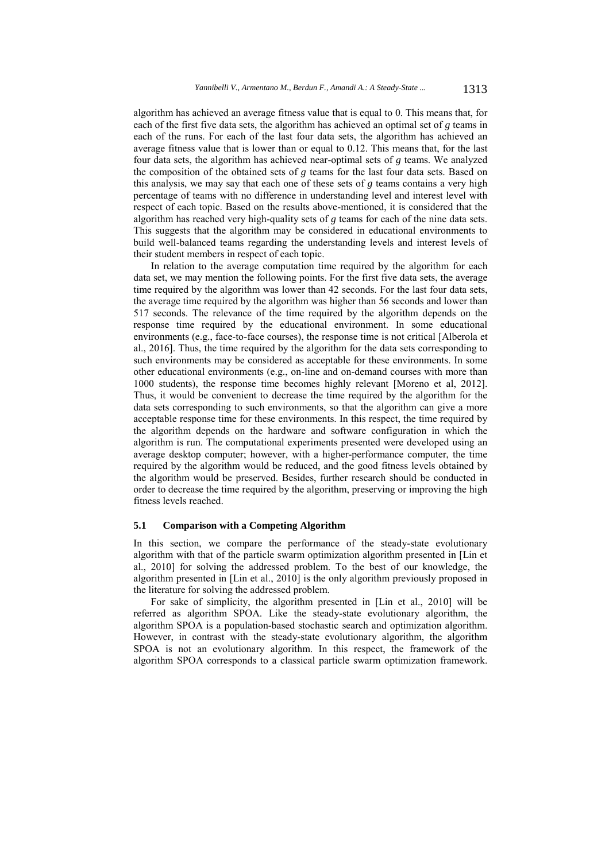algorithm has achieved an average fitness value that is equal to 0. This means that, for each of the first five data sets, the algorithm has achieved an optimal set of *g* teams in each of the runs. For each of the last four data sets, the algorithm has achieved an average fitness value that is lower than or equal to 0.12. This means that, for the last four data sets, the algorithm has achieved near-optimal sets of *g* teams. We analyzed the composition of the obtained sets of *g* teams for the last four data sets. Based on this analysis, we may say that each one of these sets of *g* teams contains a very high percentage of teams with no difference in understanding level and interest level with respect of each topic. Based on the results above-mentioned, it is considered that the algorithm has reached very high-quality sets of *g* teams for each of the nine data sets. This suggests that the algorithm may be considered in educational environments to build well-balanced teams regarding the understanding levels and interest levels of their student members in respect of each topic.

In relation to the average computation time required by the algorithm for each data set, we may mention the following points. For the first five data sets, the average time required by the algorithm was lower than 42 seconds. For the last four data sets, the average time required by the algorithm was higher than 56 seconds and lower than 517 seconds. The relevance of the time required by the algorithm depends on the response time required by the educational environment. In some educational environments (e.g., face-to-face courses), the response time is not critical [Alberola et al., 2016]. Thus, the time required by the algorithm for the data sets corresponding to such environments may be considered as acceptable for these environments. In some other educational environments (e.g., on-line and on-demand courses with more than 1000 students), the response time becomes highly relevant [Moreno et al, 2012]. Thus, it would be convenient to decrease the time required by the algorithm for the data sets corresponding to such environments, so that the algorithm can give a more acceptable response time for these environments. In this respect, the time required by the algorithm depends on the hardware and software configuration in which the algorithm is run. The computational experiments presented were developed using an average desktop computer; however, with a higher-performance computer, the time required by the algorithm would be reduced, and the good fitness levels obtained by the algorithm would be preserved. Besides, further research should be conducted in order to decrease the time required by the algorithm, preserving or improving the high fitness levels reached.

# **5.1 Comparison with a Competing Algorithm**

In this section, we compare the performance of the steady-state evolutionary algorithm with that of the particle swarm optimization algorithm presented in [Lin et al., 2010] for solving the addressed problem. To the best of our knowledge, the algorithm presented in [Lin et al., 2010] is the only algorithm previously proposed in the literature for solving the addressed problem.

For sake of simplicity, the algorithm presented in [Lin et al., 2010] will be referred as algorithm SPOA. Like the steady-state evolutionary algorithm, the algorithm SPOA is a population-based stochastic search and optimization algorithm. However, in contrast with the steady-state evolutionary algorithm, the algorithm SPOA is not an evolutionary algorithm. In this respect, the framework of the algorithm SPOA corresponds to a classical particle swarm optimization framework.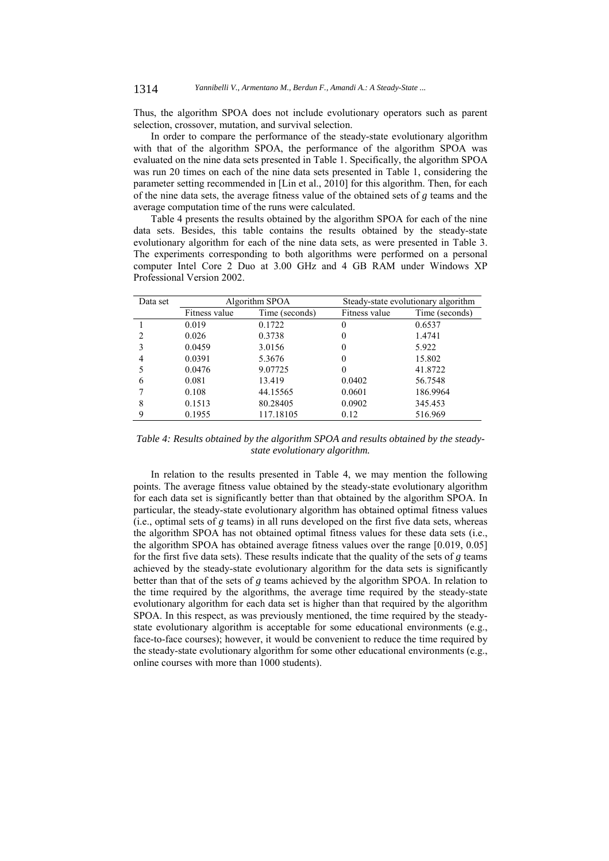Thus, the algorithm SPOA does not include evolutionary operators such as parent selection, crossover, mutation, and survival selection.

In order to compare the performance of the steady-state evolutionary algorithm with that of the algorithm SPOA, the performance of the algorithm SPOA was evaluated on the nine data sets presented in Table 1. Specifically, the algorithm SPOA was run 20 times on each of the nine data sets presented in Table 1, considering the parameter setting recommended in [Lin et al., 2010] for this algorithm. Then, for each of the nine data sets, the average fitness value of the obtained sets of *g* teams and the average computation time of the runs were calculated.

Table 4 presents the results obtained by the algorithm SPOA for each of the nine data sets. Besides, this table contains the results obtained by the steady-state evolutionary algorithm for each of the nine data sets, as were presented in Table 3. The experiments corresponding to both algorithms were performed on a personal computer Intel Core 2 Duo at 3.00 GHz and 4 GB RAM under Windows XP Professional Version 2002.

| Data set | Algorithm SPOA |                |               | Steady-state evolutionary algorithm |  |
|----------|----------------|----------------|---------------|-------------------------------------|--|
|          | Fitness value  | Time (seconds) | Fitness value | Time (seconds)                      |  |
|          | 0.019          | 0.1722         | $\theta$      | 0.6537                              |  |
|          | 0.026          | 0.3738         | 0             | 1.4741                              |  |
|          | 0.0459         | 3.0156         | 0             | 5.922                               |  |
| 4        | 0.0391         | 5.3676         | 0             | 15.802                              |  |
|          | 0.0476         | 9.07725        | 0             | 41.8722                             |  |
| 6        | 0.081          | 13.419         | 0.0402        | 56.7548                             |  |
|          | 0.108          | 44.15565       | 0.0601        | 186.9964                            |  |
| 8        | 0.1513         | 80.28405       | 0.0902        | 345.453                             |  |
| 9        | 0.1955         | 117.18105      | 0.12          | 516.969                             |  |

*Table 4: Results obtained by the algorithm SPOA and results obtained by the steadystate evolutionary algorithm.* 

In relation to the results presented in Table 4, we may mention the following points. The average fitness value obtained by the steady-state evolutionary algorithm for each data set is significantly better than that obtained by the algorithm SPOA. In particular, the steady-state evolutionary algorithm has obtained optimal fitness values (i.e., optimal sets of *g* teams) in all runs developed on the first five data sets, whereas the algorithm SPOA has not obtained optimal fitness values for these data sets (i.e., the algorithm SPOA has obtained average fitness values over the range [0.019, 0.05] for the first five data sets). These results indicate that the quality of the sets of *g* teams achieved by the steady-state evolutionary algorithm for the data sets is significantly better than that of the sets of *g* teams achieved by the algorithm SPOA. In relation to the time required by the algorithms, the average time required by the steady-state evolutionary algorithm for each data set is higher than that required by the algorithm SPOA. In this respect, as was previously mentioned, the time required by the steadystate evolutionary algorithm is acceptable for some educational environments (e.g., face-to-face courses); however, it would be convenient to reduce the time required by the steady-state evolutionary algorithm for some other educational environments (e.g., online courses with more than 1000 students).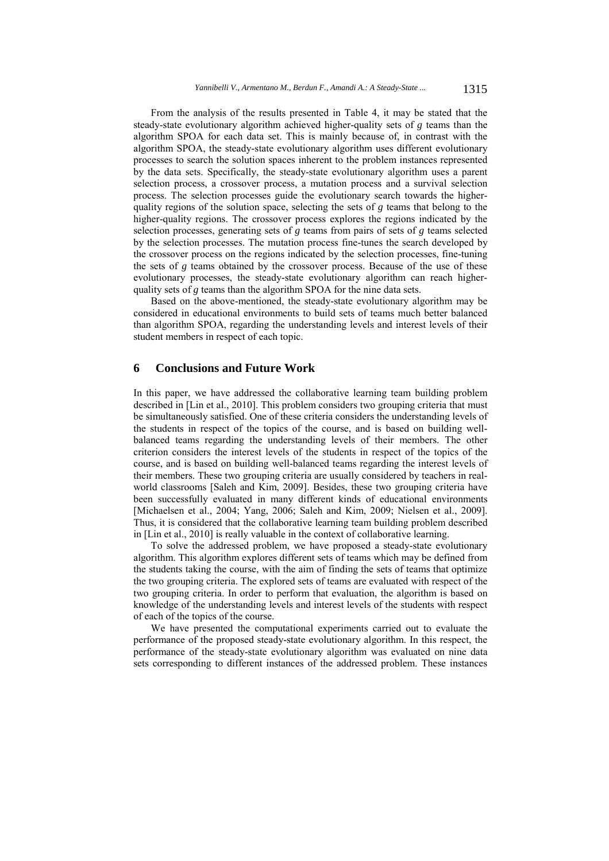From the analysis of the results presented in Table 4, it may be stated that the steady-state evolutionary algorithm achieved higher-quality sets of *g* teams than the algorithm SPOA for each data set. This is mainly because of, in contrast with the algorithm SPOA, the steady-state evolutionary algorithm uses different evolutionary processes to search the solution spaces inherent to the problem instances represented by the data sets. Specifically, the steady-state evolutionary algorithm uses a parent selection process, a crossover process, a mutation process and a survival selection process. The selection processes guide the evolutionary search towards the higherquality regions of the solution space, selecting the sets of *g* teams that belong to the higher-quality regions. The crossover process explores the regions indicated by the selection processes, generating sets of *g* teams from pairs of sets of *g* teams selected by the selection processes. The mutation process fine-tunes the search developed by the crossover process on the regions indicated by the selection processes, fine-tuning the sets of *g* teams obtained by the crossover process. Because of the use of these evolutionary processes, the steady-state evolutionary algorithm can reach higherquality sets of *g* teams than the algorithm SPOA for the nine data sets.

Based on the above-mentioned, the steady-state evolutionary algorithm may be considered in educational environments to build sets of teams much better balanced than algorithm SPOA, regarding the understanding levels and interest levels of their student members in respect of each topic.

# **6 Conclusions and Future Work**

In this paper, we have addressed the collaborative learning team building problem described in [Lin et al., 2010]. This problem considers two grouping criteria that must be simultaneously satisfied. One of these criteria considers the understanding levels of the students in respect of the topics of the course, and is based on building wellbalanced teams regarding the understanding levels of their members. The other criterion considers the interest levels of the students in respect of the topics of the course, and is based on building well-balanced teams regarding the interest levels of their members. These two grouping criteria are usually considered by teachers in realworld classrooms [Saleh and Kim, 2009]. Besides, these two grouping criteria have been successfully evaluated in many different kinds of educational environments [Michaelsen et al., 2004; Yang, 2006; Saleh and Kim, 2009; Nielsen et al., 2009]. Thus, it is considered that the collaborative learning team building problem described in [Lin et al., 2010] is really valuable in the context of collaborative learning.

To solve the addressed problem, we have proposed a steady-state evolutionary algorithm. This algorithm explores different sets of teams which may be defined from the students taking the course, with the aim of finding the sets of teams that optimize the two grouping criteria. The explored sets of teams are evaluated with respect of the two grouping criteria. In order to perform that evaluation, the algorithm is based on knowledge of the understanding levels and interest levels of the students with respect of each of the topics of the course.

We have presented the computational experiments carried out to evaluate the performance of the proposed steady-state evolutionary algorithm. In this respect, the performance of the steady-state evolutionary algorithm was evaluated on nine data sets corresponding to different instances of the addressed problem. These instances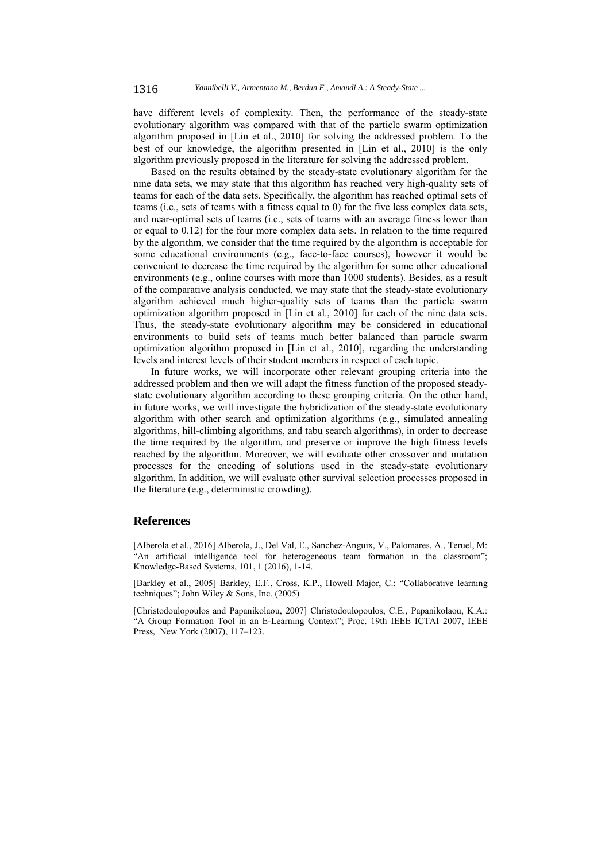have different levels of complexity. Then, the performance of the steady-state evolutionary algorithm was compared with that of the particle swarm optimization algorithm proposed in [Lin et al., 2010] for solving the addressed problem. To the best of our knowledge, the algorithm presented in [Lin et al., 2010] is the only algorithm previously proposed in the literature for solving the addressed problem.

Based on the results obtained by the steady-state evolutionary algorithm for the nine data sets, we may state that this algorithm has reached very high-quality sets of teams for each of the data sets. Specifically, the algorithm has reached optimal sets of teams (i.e., sets of teams with a fitness equal to 0) for the five less complex data sets, and near-optimal sets of teams (i.e., sets of teams with an average fitness lower than or equal to 0.12) for the four more complex data sets. In relation to the time required by the algorithm, we consider that the time required by the algorithm is acceptable for some educational environments (e.g., face-to-face courses), however it would be convenient to decrease the time required by the algorithm for some other educational environments (e.g., online courses with more than 1000 students). Besides, as a result of the comparative analysis conducted, we may state that the steady-state evolutionary algorithm achieved much higher-quality sets of teams than the particle swarm optimization algorithm proposed in [Lin et al., 2010] for each of the nine data sets. Thus, the steady-state evolutionary algorithm may be considered in educational environments to build sets of teams much better balanced than particle swarm optimization algorithm proposed in [Lin et al., 2010], regarding the understanding levels and interest levels of their student members in respect of each topic.

In future works, we will incorporate other relevant grouping criteria into the addressed problem and then we will adapt the fitness function of the proposed steadystate evolutionary algorithm according to these grouping criteria. On the other hand, in future works, we will investigate the hybridization of the steady-state evolutionary algorithm with other search and optimization algorithms (e.g., simulated annealing algorithms, hill-climbing algorithms, and tabu search algorithms), in order to decrease the time required by the algorithm, and preserve or improve the high fitness levels reached by the algorithm. Moreover, we will evaluate other crossover and mutation processes for the encoding of solutions used in the steady-state evolutionary algorithm. In addition, we will evaluate other survival selection processes proposed in the literature (e.g., deterministic crowding).

### **References**

[Alberola et al., 2016] Alberola, J., Del Val, E., Sanchez-Anguix, V., Palomares, A., Teruel, M: "An artificial intelligence tool for heterogeneous team formation in the classroom"; Knowledge-Based Systems, 101, 1 (2016), 1-14.

[Barkley et al., 2005] Barkley, E.F., Cross, K.P., Howell Major, C.: "Collaborative learning techniques"; John Wiley & Sons, Inc. (2005)

[Christodoulopoulos and Papanikolaou, 2007] Christodoulopoulos, C.E., Papanikolaou, K.A.: "A Group Formation Tool in an E-Learning Context"; Proc. 19th IEEE ICTAI 2007, IEEE Press, New York (2007), 117–123.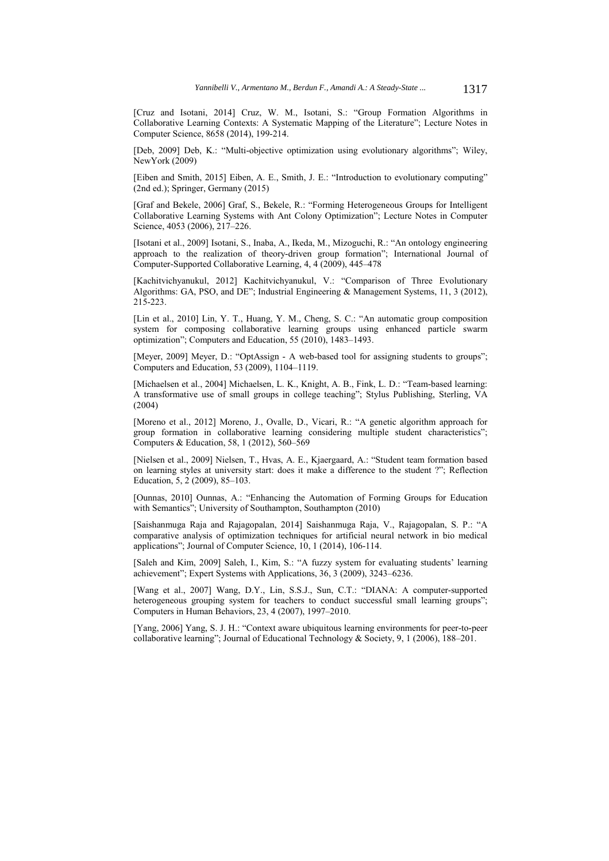[Cruz and Isotani, 2014] Cruz, W. M., Isotani, S.: "Group Formation Algorithms in Collaborative Learning Contexts: A Systematic Mapping of the Literature"; Lecture Notes in Computer Science, 8658 (2014), 199-214.

[Deb, 2009] Deb, K.: "Multi-objective optimization using evolutionary algorithms"; Wiley, NewYork (2009)

[Eiben and Smith, 2015] Eiben, A. E., Smith, J. E.: "Introduction to evolutionary computing" (2nd ed.); Springer, Germany (2015)

[Graf and Bekele, 2006] Graf, S., Bekele, R.: "Forming Heterogeneous Groups for Intelligent Collaborative Learning Systems with Ant Colony Optimization"; Lecture Notes in Computer Science, 4053 (2006), 217–226.

[Isotani et al., 2009] Isotani, S., Inaba, A., Ikeda, M., Mizoguchi, R.: "An ontology engineering approach to the realization of theory-driven group formation"; International Journal of Computer-Supported Collaborative Learning, 4, 4 (2009), 445–478

[Kachitvichyanukul, 2012] Kachitvichyanukul, V.: "Comparison of Three Evolutionary Algorithms: GA, PSO, and DE"; Industrial Engineering & Management Systems, 11, 3 (2012), 215-223.

[Lin et al., 2010] Lin, Y. T., Huang, Y. M., Cheng, S. C.: "An automatic group composition system for composing collaborative learning groups using enhanced particle swarm optimization"; Computers and Education, 55 (2010), 1483–1493.

[Meyer, 2009] Meyer, D.: "OptAssign - A web-based tool for assigning students to groups"; Computers and Education, 53 (2009), 1104–1119.

[Michaelsen et al., 2004] Michaelsen, L. K., Knight, A. B., Fink, L. D.: "Team-based learning: A transformative use of small groups in college teaching"; Stylus Publishing, Sterling, VA (2004)

[Moreno et al., 2012] Moreno, J., Ovalle, D., Vicari, R.: "A genetic algorithm approach for group formation in collaborative learning considering multiple student characteristics"; Computers & Education, 58, 1 (2012), 560–569

[Nielsen et al., 2009] Nielsen, T., Hvas, A. E., Kjaergaard, A.: "Student team formation based on learning styles at university start: does it make a difference to the student ?"; Reflection Education, 5, 2 (2009), 85–103.

[Ounnas, 2010] Ounnas, A.: "Enhancing the Automation of Forming Groups for Education with Semantics"; University of Southampton, Southampton (2010)

[Saishanmuga Raja and Rajagopalan, 2014] Saishanmuga Raja, V., Rajagopalan, S. P.: "A comparative analysis of optimization techniques for artificial neural network in bio medical applications"; Journal of Computer Science, 10, 1 (2014), 106-114.

[Saleh and Kim, 2009] Saleh, I., Kim, S.: "A fuzzy system for evaluating students' learning achievement"; Expert Systems with Applications, 36, 3 (2009), 3243–6236.

[Wang et al., 2007] Wang, D.Y., Lin, S.S.J., Sun, C.T.: "DIANA: A computer-supported heterogeneous grouping system for teachers to conduct successful small learning groups"; Computers in Human Behaviors, 23, 4 (2007), 1997–2010.

[Yang, 2006] Yang, S. J. H.: "Context aware ubiquitous learning environments for peer-to-peer collaborative learning"; Journal of Educational Technology & Society, 9, 1 (2006), 188–201.